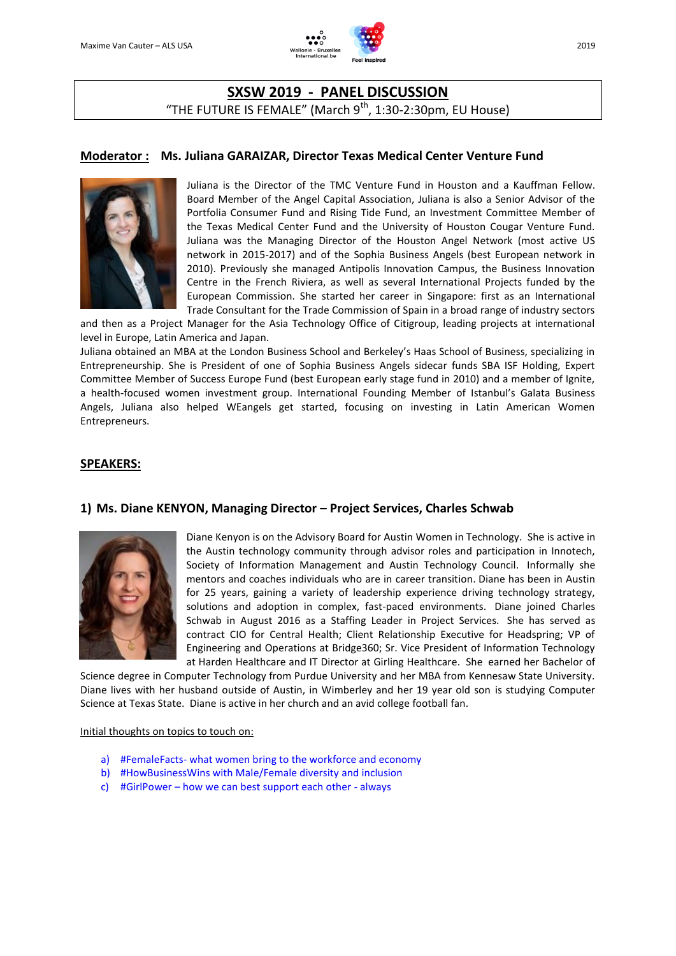

# **SXSW 2019 - PANEL DISCUSSION** "THE FUTURE IS FEMALE" (March  $9^{th}$ , 1:30-2:30pm, EU House)

## **Moderator : Ms. Juliana GARAIZAR, Director Texas Medical Center Venture Fund**



Juliana is the Director of the TMC Venture Fund in Houston and a Kauffman Fellow. Board Member of the Angel Capital Association, Juliana is also a Senior Advisor of the Portfolia Consumer Fund and Rising Tide Fund, an Investment Committee Member of the Texas Medical Center Fund and the University of Houston Cougar Venture Fund. Juliana was the Managing Director of the Houston Angel Network (most active US network in 2015-2017) and of the Sophia Business Angels (best European network in 2010). Previously she managed Antipolis Innovation Campus, the Business Innovation Centre in the French Riviera, as well as several International Projects funded by the European Commission. She started her career in Singapore: first as an International Trade Consultant for the Trade Commission of Spain in a broad range of industry sectors

and then as a Project Manager for the Asia Technology Office of Citigroup, leading projects at international level in Europe, Latin America and Japan.

Juliana obtained an MBA at the London Business School and Berkeley's Haas School of Business, specializing in Entrepreneurship. She is President of one of Sophia Business Angels sidecar funds SBA ISF Holding, Expert Committee Member of Success Europe Fund (best European early stage fund in 2010) and a member of Ignite, a health-focused women investment group. International Founding Member of Istanbul's Galata Business Angels, Juliana also helped WEangels get started, focusing on investing in Latin American Women Entrepreneurs.

### **SPEAKERS:**

## **1) Ms. Diane KENYON, Managing Director – Project Services, Charles Schwab**



Diane Kenyon is on the Advisory Board for Austin Women in Technology. She is active in the Austin technology community through advisor roles and participation in Innotech, Society of Information Management and Austin Technology Council. Informally she mentors and coaches individuals who are in career transition. Diane has been in Austin for 25 years, gaining a variety of leadership experience driving technology strategy, solutions and adoption in complex, fast-paced environments. Diane joined Charles Schwab in August 2016 as a Staffing Leader in Project Services. She has served as contract CIO for Central Health; Client Relationship Executive for Headspring; VP of Engineering and Operations at Bridge360; Sr. Vice President of Information Technology at Harden Healthcare and IT Director at Girling Healthcare. She earned her Bachelor of

Science degree in Computer Technology from Purdue University and her MBA from Kennesaw State University. Diane lives with her husband outside of Austin, in Wimberley and her 19 year old son is studying Computer Science at Texas State. Diane is active in her church and an avid college football fan.

#### Initial thoughts on topics to touch on:

- a) #FemaleFacts- what women bring to the workforce and economy
- b) #HowBusinessWins with Male/Female diversity and inclusion
- c) #GirlPower how we can best support each other always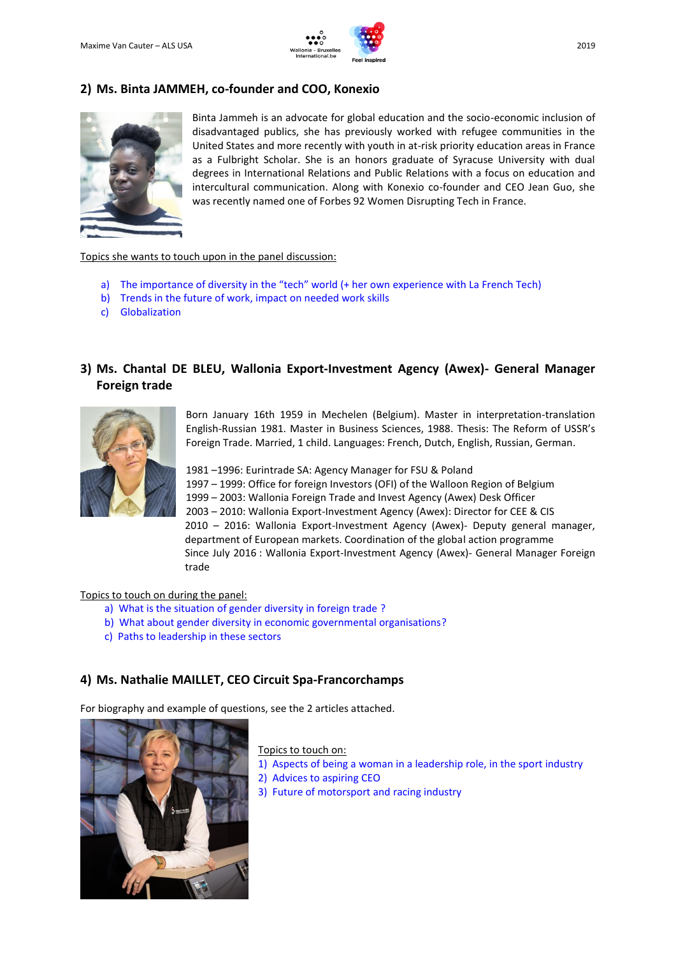

# **2) Ms. Binta JAMMEH, co-founder and COO, Konexio**



Binta Jammeh is an advocate for global education and the socio-economic inclusion of disadvantaged publics, she has previously worked with refugee communities in the United States and more recently with youth in at-risk priority education areas in France as a Fulbright Scholar. She is an honors graduate of Syracuse University with dual degrees in International Relations and Public Relations with a focus on education and intercultural communication. Along with Konexio co-founder and CEO Jean Guo, she was recently named one of Forbes 92 Women Disrupting Tech in France.

#### Topics she wants to touch upon in the panel discussion:

- a) The importance of diversity in the "tech" world (+ her own experience with La French Tech)
- b) Trends in the future of work, impact on needed work skills
- c) Globalization

## **3) Ms. Chantal DE BLEU, Wallonia Export-Investment Agency (Awex)- General Manager Foreign trade**



Born January 16th 1959 in Mechelen (Belgium). Master in interpretation-translation English-Russian 1981. Master in Business Sciences, 1988. Thesis: The Reform of USSR's Foreign Trade. Married, 1 child. Languages: French, Dutch, English, Russian, German.

–1996: Eurintrade SA: Agency Manager for FSU & Poland – 1999: Office for foreign Investors (OFI) of the Walloon Region of Belgium – 2003: Wallonia Foreign Trade and Invest Agency (Awex) Desk Officer – 2010: Wallonia Export-Investment Agency (Awex): Director for CEE & CIS – 2016: Wallonia Export-Investment Agency (Awex)- Deputy general manager, department of European markets. Coordination of the global action programme Since July 2016 : Wallonia Export-Investment Agency (Awex)- General Manager Foreign trade

#### Topics to touch on during the panel:

- a) What is the situation of gender diversity in foreign trade ?
- b) What about gender diversity in economic governmental organisations?
- c) Paths to leadership in these sectors

### **4) Ms. Nathalie MAILLET, CEO Circuit Spa-Francorchamps**

For biography and example of questions, see the 2 articles attached.



Topics to touch on:

- 1) Aspects of being a woman in a leadership role, in the sport industry
- 2) Advices to aspiring CEO
- 3) Future of motorsport and racing industry